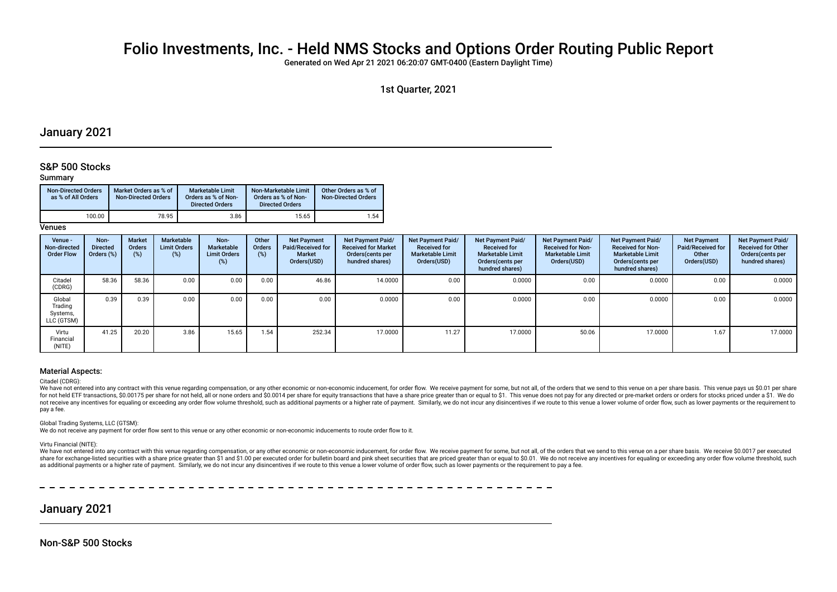# Folio Investments, Inc. - Held NMS Stocks and Options Order Routing Public Report

Generated on Wed Apr 21 2021 06:20:07 GMT-0400 (Eastern Daylight Time)

## January 2021

## S&P 500 Stocks

### Summary

| <b>Non-Directed Orders</b><br>as % of All Orders | Market Orders as % of<br><b>Non-Directed Orders</b> | Marketable Limit<br>Orders as % of Non-<br><b>Directed Orders</b> | Non-Marketable Limit<br>Orders as % of Non-<br><b>Directed Orders</b> | Other Orders as % of<br><b>Non-Directed Orders</b> |
|--------------------------------------------------|-----------------------------------------------------|-------------------------------------------------------------------|-----------------------------------------------------------------------|----------------------------------------------------|
| 100.00                                           | 78.95                                               | 3.86                                                              | 15.65                                                                 | 1.54                                               |

**Venues** 

| Venue -<br>Non-directed<br><b>Order Flow</b> | Non-<br><b>Directed</b><br>Orders (%) | <b>Market</b><br>Orders<br>(%) | Marketable<br><b>Limit Orders</b><br>(%) | Non-<br>Marketable<br><b>Limit Orders</b><br>$(\%)$ | Other<br>Orders<br>(%) | <b>Net Payment</b><br>Paid/Received for<br><b>Market</b><br>Orders(USD) | Net Payment Paid/<br><b>Received for Market</b><br>Orders (cents per<br>hundred shares) | Net Payment Paid/<br><b>Received for</b><br><b>Marketable Limit</b><br>Orders(USD) | Net Payment Paid/<br><b>Received for</b><br><b>Marketable Limit</b><br>Orders (cents per<br>hundred shares) | Net Payment Paid/<br><b>Received for Non-</b><br><b>Marketable Limit</b><br>Orders(USD) | Net Payment Paid/<br><b>Received for Non-</b><br><b>Marketable Limit</b><br>Orders (cents per<br>hundred shares) | <b>Net Payment</b><br>Paid/Received for<br>Other<br>Orders(USD) | Net Payment Paid/<br><b>Received for Other</b><br>Orders(cents per<br>hundred shares) |
|----------------------------------------------|---------------------------------------|--------------------------------|------------------------------------------|-----------------------------------------------------|------------------------|-------------------------------------------------------------------------|-----------------------------------------------------------------------------------------|------------------------------------------------------------------------------------|-------------------------------------------------------------------------------------------------------------|-----------------------------------------------------------------------------------------|------------------------------------------------------------------------------------------------------------------|-----------------------------------------------------------------|---------------------------------------------------------------------------------------|
| Citadel<br>(CDRG)                            | 58.36                                 | 58.36                          | 0.00                                     | 0.00                                                | 0.00                   | 46.86                                                                   | 14.0000                                                                                 | 0.00                                                                               | 0.0000                                                                                                      | 0.00                                                                                    | 0.0000                                                                                                           | 0.00                                                            | 0.0000                                                                                |
| Global<br>Trading<br>Systems,<br>LLC (GTSM)  | 0.39                                  | 0.39                           | 0.00                                     | 0.00                                                | 0.00                   | 0.00                                                                    | 0.0000                                                                                  | 0.00                                                                               | 0.0000                                                                                                      | 0.00                                                                                    | 0.0000                                                                                                           | 0.00                                                            | 0.0000                                                                                |
| Virtu<br>Financial<br>(NITE)                 | 41.25                                 | 20.20                          | 3.86                                     | 15.65                                               | 1.54                   | 252.34                                                                  | 17.0000                                                                                 | 11.27                                                                              | 17.0000                                                                                                     | 50.06                                                                                   | 17.0000                                                                                                          | 1.67                                                            | 17.0000                                                                               |

#### Material Aspects:

#### Citadel (CDRG):

We have not entered into any contract with this venue regarding compensation, or any other economic or non-economic inducement, for order flow. We receive payment for some, but not all, of the orders that we send to this v for not held ETF transactions. \$0.00175 per share for not held, all or none orders and \$0.0014 per share for equity transactions that have a share price greater than or equal to \$1. This venue does not pay for any directed not receive any incentives for equaling or exceeding any order flow volume threshold, such as additional payments or a higher rate of payment. Similarly, we do not incur any disincentives if we route to this venue a lower pay a fee.

Global Trading Systems, LLC (GTSM):

We do not receive any payment for order flow sent to this venue or any other economic or non-economic inducements to route order flow to it.

Virtu Financial (NITE):

We have not entered into any contract with this venue regarding compensation, or any other economic or non-economic inducement, for order flow. We receive payment for some, but not all, of the orders that we send to this v share for exchange-listed securities with a share price greater than \$1 and \$1.00 per executed order for bulletin board and pink sheet securities that are priced greater than or equal to \$0.01. We do not receive any incent as additional payments or a higher rate of payment. Similarly, we do not incur any disincentives if we route to this venue a lower volume of order flow, such as lower payments or the requirement to pay a fee.

January 2021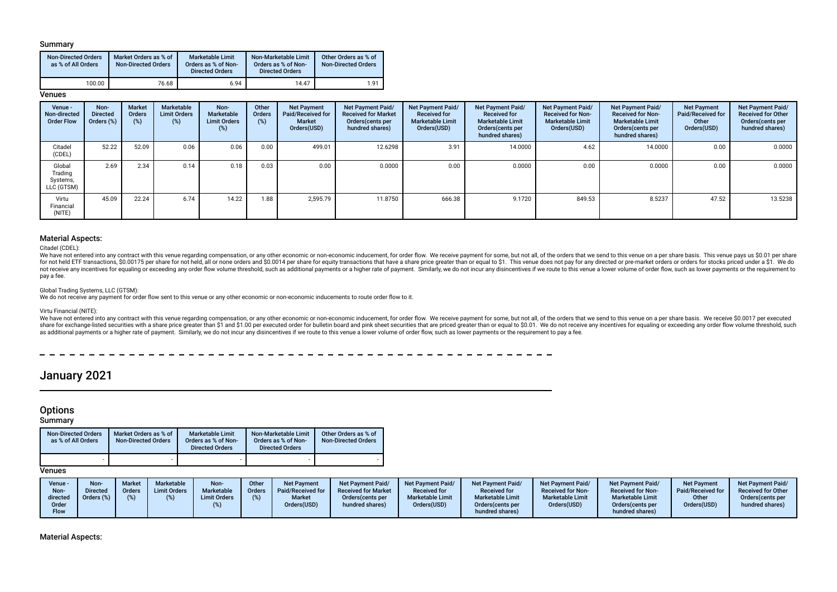### Summary

| <b>Non-Directed Orders</b><br>as % of All Orders | Market Orders as % of<br><b>Non-Directed Orders</b> | <b>Marketable Limit</b><br>Orders as % of Non-<br><b>Directed Orders</b> | Non-Marketable Limit<br>Orders as % of Non-<br><b>Directed Orders</b> | Other Orders as % of<br><b>Non-Directed Orders</b> |
|--------------------------------------------------|-----------------------------------------------------|--------------------------------------------------------------------------|-----------------------------------------------------------------------|----------------------------------------------------|
| 100.00                                           | 76.68                                               | 6.94                                                                     | 14.47                                                                 | 1.91                                               |

### **Venues**

| Venue -<br>Non-directed<br><b>Order Flow</b> | Non-<br><b>Directed</b><br>Orders (%) | <b>Market</b><br>Orders<br>(%) | Marketable<br><b>Limit Orders</b><br>(%) | Non-<br>Marketable<br><b>Limit Orders</b><br>(%) | Other<br><b>Orders</b><br>(%) | <b>Net Payment</b><br>Paid/Received for<br>Market<br>Orders(USD) | Net Payment Paid/<br><b>Received for Market</b><br>Orders(cents per<br>hundred shares) | <b>Net Payment Paid/</b><br><b>Received for</b><br><b>Marketable Limit</b><br>Orders(USD) | Net Payment Paid/<br><b>Received for</b><br><b>Marketable Limit</b><br>Orders (cents per<br>hundred shares) | Net Payment Paid/<br><b>Received for Non-</b><br><b>Marketable Limit</b><br>Orders(USD) | Net Payment Paid/<br><b>Received for Non-</b><br><b>Marketable Limit</b><br>Orders(cents per<br>hundred shares) | <b>Net Payment</b><br>Paid/Received for<br>Other<br>Orders(USD) | Net Payment Paid/<br><b>Received for Other</b><br>Orders(cents per<br>hundred shares) |
|----------------------------------------------|---------------------------------------|--------------------------------|------------------------------------------|--------------------------------------------------|-------------------------------|------------------------------------------------------------------|----------------------------------------------------------------------------------------|-------------------------------------------------------------------------------------------|-------------------------------------------------------------------------------------------------------------|-----------------------------------------------------------------------------------------|-----------------------------------------------------------------------------------------------------------------|-----------------------------------------------------------------|---------------------------------------------------------------------------------------|
| Citadel<br>(CDEL)                            | 52.22                                 | 52.09                          | 0.06                                     | 0.06                                             | 0.00                          | 499.01                                                           | 12.6298                                                                                | 3.91                                                                                      | 14.0000                                                                                                     | 4.62                                                                                    | 14.0000                                                                                                         | 0.00                                                            | 0.0000                                                                                |
| Global<br>Trading<br>Systems,<br>LLC (GTSM)  | 2.69                                  | 2.34                           | 0.14                                     | 0.18                                             | 0.03                          | 0.00                                                             | 0.0000                                                                                 | 0.00                                                                                      | 0.0000                                                                                                      | 0.00                                                                                    | 0.0000                                                                                                          | 0.00                                                            | 0.0000                                                                                |
| Virtu<br>Financial<br>(NITE)                 | 45.09                                 | 22.24                          | 6.74                                     | 14.22                                            | 1.88                          | 2.595.79                                                         | 11.8750                                                                                | 666.38                                                                                    | 9.1720                                                                                                      | 849.53                                                                                  | 8.5237                                                                                                          | 47.52                                                           | 13.5238                                                                               |

### Material Aspects:

Citadel (CDEL):

We have not entered into any contract with this venue regarding compensation, or any other economic or non-economic inducement, for order flow. We receive payment for some, but not all, of the orders that we send to this v for not held ETF transactions, \$0,00175 per share for not held, all or none orders and \$0,0014 per share for equity transactions that have a share price greater than or equal to \$1. This yenue does not pay for any directed not receive any incentives for equaling or exceeding any order flow volume threshold, such as additional payments or a higher rate of payment. Similarly, we do not incur any disincentives if we route to this venue a lower pay a fee.

#### Global Trading Systems, LLC (GTSM):

We do not receive any payment for order flow sent to this venue or any other economic or non-economic inducements to route order flow to it.

#### Virtu Financial (NITE):

We have not entered into any contract with this venue regarding compensation, or any other economic or non-economic inducement, for order flow. We receive payment for some, but not all, of the orders that we send to this v share for exchange-listed securities with a share price greater than \$1 and \$1.00 per executed order for bulletin board and pink sheet securities that are priced greater than or equal to \$0.01. We do not receive any incent as additional payments or a higher rate of payment. Similarly, we do not incur any disincentives if we route to this venue a lower volume of order flow, such as lower payments or the requirement to pay a fee.

 $- - - - - -$ 

## January 2021

## **Options**

**Summary** 

| <b>Non-Directed Orders</b><br>as % of All Orders | Market Orders as % of<br><b>Non-Directed Orders</b> | <b>Marketable Limit</b><br>Orders as % of Non-<br><b>Directed Orders</b> | Non-Marketable Limit<br>Orders as % of Non-<br><b>Directed Orders</b> | Other Orders as % of<br><b>Non-Directed Orders</b> |
|--------------------------------------------------|-----------------------------------------------------|--------------------------------------------------------------------------|-----------------------------------------------------------------------|----------------------------------------------------|
|                                                  |                                                     |                                                                          |                                                                       |                                                    |

## **Venues**

Material Aspects: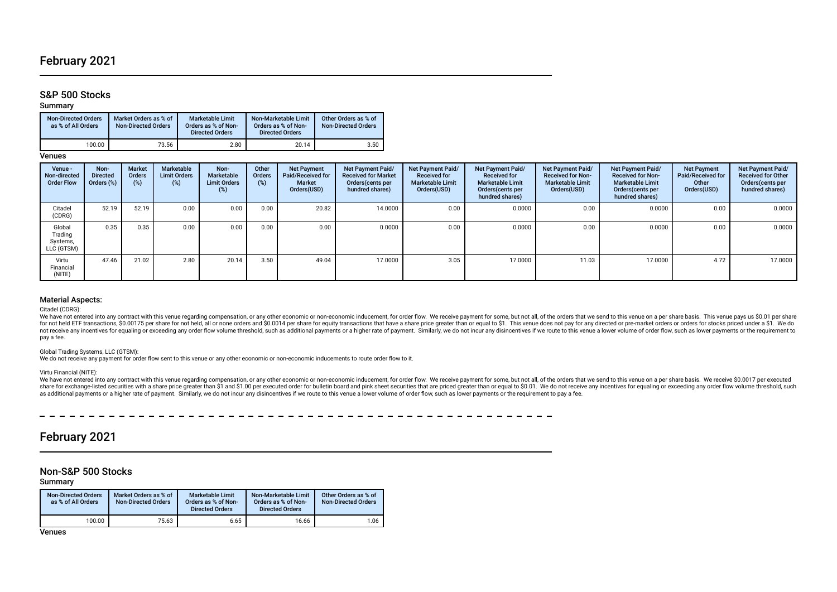## February 2021

## S&P 500 Stocks

Summary

| <b>Non-Directed Orders</b><br>as % of All Orders | Market Orders as % of<br><b>Non-Directed Orders</b> | <b>Marketable Limit</b><br>Orders as % of Non-<br><b>Directed Orders</b> | Non-Marketable Limit<br>Orders as % of Non-<br><b>Directed Orders</b> | Other Orders as % of<br><b>Non-Directed Orders</b> |
|--------------------------------------------------|-----------------------------------------------------|--------------------------------------------------------------------------|-----------------------------------------------------------------------|----------------------------------------------------|
| 100.00                                           | 73.56                                               | 2.80                                                                     | 20.14                                                                 | 3.50                                               |

Venues

| Venue -<br>Non-directed<br><b>Order Flow</b> | Non-<br><b>Directed</b><br>Orders (%) | <b>Market</b><br><b>Orders</b><br>(%) | Marketable<br><b>Limit Orders</b><br>$(\%)$ | Non-<br><b>Marketable</b><br><b>Limit Orders</b><br>(%) | Other<br><b>Orders</b><br>(%) | <b>Net Payment</b><br>Paid/Received for<br>Market<br>Orders(USD) | <b>Net Payment Paid/</b><br><b>Received for Market</b><br>Orders (cents per<br>hundred shares) | Net Payment Paid/<br><b>Received for</b><br><b>Marketable Limit</b><br>Orders(USD) | <b>Net Payment Paid/</b><br><b>Received for</b><br><b>Marketable Limit</b><br>Orders (cents per<br>hundred shares) | Net Payment Paid/<br><b>Received for Non-</b><br><b>Marketable Limit</b><br>Orders(USD) | <b>Net Payment Paid/</b><br><b>Received for Non-</b><br><b>Marketable Limit</b><br>Orders(cents per<br>hundred shares) | <b>Net Payment</b><br>Paid/Received for<br>Other<br>Orders(USD) | Net Payment Paid/<br><b>Received for Other</b><br>Orders(cents per<br>hundred shares) |
|----------------------------------------------|---------------------------------------|---------------------------------------|---------------------------------------------|---------------------------------------------------------|-------------------------------|------------------------------------------------------------------|------------------------------------------------------------------------------------------------|------------------------------------------------------------------------------------|--------------------------------------------------------------------------------------------------------------------|-----------------------------------------------------------------------------------------|------------------------------------------------------------------------------------------------------------------------|-----------------------------------------------------------------|---------------------------------------------------------------------------------------|
| Citadel<br>(CDRG)                            | 52.19                                 | 52.19                                 | 0.00                                        | 0.00                                                    | 0.00                          | 20.82                                                            | 14.0000                                                                                        | 0.00                                                                               | 0.0000                                                                                                             | 0.00                                                                                    | 0.0000                                                                                                                 | 0.00                                                            | 0.0000                                                                                |
| Global<br>Trading<br>Systems,<br>LLC (GTSM)  | 0.35                                  | 0.35                                  | 0.00                                        | 0.00                                                    | 0.00                          | 0.00                                                             | 0.0000                                                                                         | 0.00                                                                               | 0.0000                                                                                                             | 0.00                                                                                    | 0.0000                                                                                                                 | 0.00                                                            | 0.0000                                                                                |
| Virtu<br>Financial<br>(NITE)                 | 47.46                                 | 21.02                                 | 2.80                                        | 20.14                                                   | 3.50                          | 49.04                                                            | 17.0000                                                                                        | 3.05                                                                               | 17.0000                                                                                                            | 11.03                                                                                   | 17.0000                                                                                                                | 4.72                                                            | 17.0000                                                                               |

### Material Aspects:

Citadel (CDRG):

We have not entered into any contract with this venue regarding compensation, or any other economic or non-economic inducement, for order flow. We receive payment for some, but not all, of the orders that we send to this v for not held ETF transactions, \$0.00175 per share for not held, all or none orders and \$0.0014 per share for equity transactions that have a share price greater than or equal to \$1. This venue does not pay for any directed not receive any incentives for equaling or exceeding any order flow volume threshold, such as additional payments or a higher rate of payment. Similarly, we do not incur any disincentives if we route to this venue a lower pay a fee.

#### Global Trading Systems, LLC (GTSM):

We do not receive any payment for order flow sent to this venue or any other economic or non-economic inducements to route order flow to it.

#### Virtu Financial (NITE):

We have not entered into any contract with this venue regarding compensation, or any other economic or non-economic inducement, for order flow. We receive payment for some, but not all, of the orders that we send to this v share for exchange-listed securities with a share price greater than \$1 and \$1.00 per executed order for bulletin board and pink sheet securities that are priced greater than or equal to \$0.01. We do not receive any incent as additional payments or a higher rate of payment. Similarly, we do not incur any disincentives if we route to this venue a lower volume of order flow, such as lower payments or the requirement to pay a fee.

#### -----------

## February 2021

## Non-S&P 500 Stocks

Summary

| <b>Non-Directed Orders</b><br>as % of All Orders | Market Orders as % of<br><b>Non-Directed Orders</b> | <b>Marketable Limit</b><br>Orders as % of Non-<br><b>Directed Orders</b> | Non-Marketable Limit<br>Orders as % of Non-<br><b>Directed Orders</b> | Other Orders as % of<br>Non-Directed Orders |
|--------------------------------------------------|-----------------------------------------------------|--------------------------------------------------------------------------|-----------------------------------------------------------------------|---------------------------------------------|
| 100.00                                           | 75.63                                               | 6.65                                                                     | 16.66                                                                 | 1.06                                        |

Venues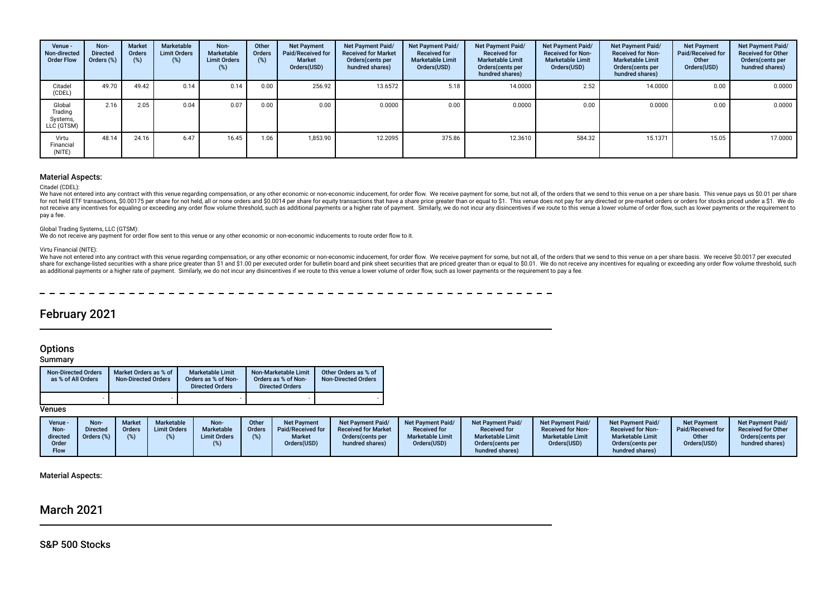| Venue -<br>Non-directed<br><b>Order Flow</b> | Non-<br><b>Directed</b><br>Orders (%) | <b>Market</b><br>Orders<br>(%) | Marketable<br><b>Limit Orders</b><br>(%) | Non-<br>Marketable<br><b>Limit Orders</b><br>(%) | Other<br><b>Orders</b><br>(%) | <b>Net Payment</b><br>Paid/Received for<br><b>Market</b><br>Orders(USD) | <b>Net Payment Paid/</b><br><b>Received for Market</b><br>Orders(cents per<br>hundred shares) | <b>Net Payment Paid/</b><br><b>Received for</b><br><b>Marketable Limit</b><br>Orders(USD) | Net Payment Paid/<br><b>Received for</b><br><b>Marketable Limit</b><br>Orders(cents per<br>hundred shares) | Net Payment Paid/<br><b>Received for Non-</b><br><b>Marketable Limit</b><br>Orders(USD) | Net Payment Paid/<br><b>Received for Non-</b><br><b>Marketable Limit</b><br>Orders (cents per<br>hundred shares) | <b>Net Payment</b><br>Paid/Received for<br>Other<br>Orders(USD) | Net Payment Paid/<br><b>Received for Other</b><br>Orders (cents per<br>hundred shares) |
|----------------------------------------------|---------------------------------------|--------------------------------|------------------------------------------|--------------------------------------------------|-------------------------------|-------------------------------------------------------------------------|-----------------------------------------------------------------------------------------------|-------------------------------------------------------------------------------------------|------------------------------------------------------------------------------------------------------------|-----------------------------------------------------------------------------------------|------------------------------------------------------------------------------------------------------------------|-----------------------------------------------------------------|----------------------------------------------------------------------------------------|
| Citadel<br>(CDEL)                            | 49.70                                 | 49.42                          | 0.14                                     | 0.14                                             | 0.00                          | 256.92                                                                  | 13.6572                                                                                       | 5.18                                                                                      | 14.0000                                                                                                    | 2.52                                                                                    | 14.0000                                                                                                          | 0.00                                                            | 0.0000                                                                                 |
| Global<br>Trading<br>Systems,<br>LLC (GTSM)  | 2.16                                  | 2.05                           | 0.04                                     | 0.07                                             | 0.00                          | 0.00                                                                    | 0.0000                                                                                        | 0.00                                                                                      | 0.0000                                                                                                     | 0.00                                                                                    | 0.0000                                                                                                           | 0.00                                                            | 0.0000                                                                                 |
| Virtu<br>Financial<br>(NITE)                 | 48.14                                 | 24.16                          | 6.47                                     | 16.45                                            | 1.06                          | 1,853.90                                                                | 12.2095                                                                                       | 375.86                                                                                    | 12.3610                                                                                                    | 584.32                                                                                  | 15.1371                                                                                                          | 15.05                                                           | 17,0000                                                                                |

#### Material Aspects:

#### Citadel (CDEL):

We have not entered into any contract with this venue regarding compensation, or any other economic or non-economic inducement, for order flow. We receive payment for some, but not all, of the orders that we send to this v for not held ETF transactions, \$0.00175 per share for not held, all or none orders and \$0.0014 per share for equity transactions that have a share price greater than or equal to \$1. This venue does not pay for any directed not receive any incentives for equaling or exceeding any order flow volume threshold, such as additional payments or a higher rate of payment. Similarly, we do not incur any disincentives if we route to this venue a lower pay a fee.

#### Global Trading Systems, LLC (GTSM):

We do not receive any payment for order flow sent to this venue or any other economic or non-economic inducements to route order flow to it.

#### Virtu Financial (NITE):

We have not entered into any contract with this venue regarding compensation, or any other economic or non-economic inducement, for order flow. We receive payment for some, but not all, of the orders that we send to this v share for exchange-listed securities with a share price greater than \$1 and \$1.00 per executed order for bulletin board and pink sheet securities that are priced greater than or equal to \$0.01. We do not receive any incent as additional payments or a higher rate of payment. Similarly, we do not incur any disincentives if we route to this venue a lower volume of order flow, such as lower payments or the requirement to pay a fee.

## February 2021

## **Options**

**Summary** 

| <b>Non-Directed Orders</b><br>as % of All Orders | Market Orders as % of<br><b>Non-Directed Orders</b> | <b>Marketable Limit</b><br>Orders as % of Non-<br><b>Directed Orders</b> | Non-Marketable Limit<br>Orders as % of Non-<br><b>Directed Orders</b> | Other Orders as % of<br><b>Non-Directed Orders</b> |
|--------------------------------------------------|-----------------------------------------------------|--------------------------------------------------------------------------|-----------------------------------------------------------------------|----------------------------------------------------|
|                                                  |                                                     |                                                                          |                                                                       |                                                    |

**Venues** 

| Venue -<br>Non-<br>directed<br>Order<br><b>Flow</b> | <b>Non</b><br><b>Directed</b><br>Orders (%) | <b>Market</b><br><b>Orders</b><br>(%) | <b>Marketable</b><br><b>Limit Orders</b> | Non-<br>Marketable<br><b>Limit Orders</b> | Other<br>Orders | <b>Net Payment</b><br>Paid/Received for<br><b>Market</b><br>Orders(USD) | Net Payment Paid/<br><b>Received for Market</b><br>Orders (cents per<br>hundred shares) | <b>Net Payment Paid/</b><br><b>Received for</b><br><b>Marketable Limit</b><br>Orders(USD) | <b>Net Payment Paid/</b><br><b>Received for</b><br><b>Marketable Limit</b><br>Orders (cents per<br>hundred shares) | <b>Net Payment Paid/</b><br><b>Received for Non-</b><br><b>Marketable Limit</b><br>Orders(USD) | <b>Net Payment Paid/</b><br><b>Received for Non-</b><br><b>Marketable Limit</b><br>Orders(cents per<br>hundred shares) | <b>Net Payment</b><br>Paid/Received for<br>Other<br>Orders(USD) | <b>Net Payment Paid/</b><br><b>Received for Other</b><br>Orders(cents per<br>hundred shares) |
|-----------------------------------------------------|---------------------------------------------|---------------------------------------|------------------------------------------|-------------------------------------------|-----------------|-------------------------------------------------------------------------|-----------------------------------------------------------------------------------------|-------------------------------------------------------------------------------------------|--------------------------------------------------------------------------------------------------------------------|------------------------------------------------------------------------------------------------|------------------------------------------------------------------------------------------------------------------------|-----------------------------------------------------------------|----------------------------------------------------------------------------------------------|
|-----------------------------------------------------|---------------------------------------------|---------------------------------------|------------------------------------------|-------------------------------------------|-----------------|-------------------------------------------------------------------------|-----------------------------------------------------------------------------------------|-------------------------------------------------------------------------------------------|--------------------------------------------------------------------------------------------------------------------|------------------------------------------------------------------------------------------------|------------------------------------------------------------------------------------------------------------------------|-----------------------------------------------------------------|----------------------------------------------------------------------------------------------|

### Material Aspects:

## March 2021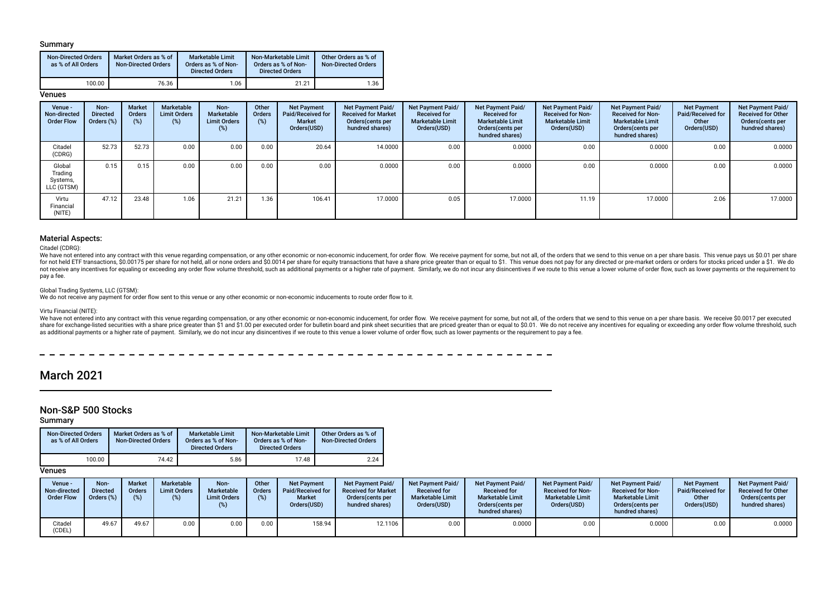### Summary

| <b>Non-Directed Orders</b><br>as % of All Orders | Market Orders as % of<br><b>Non-Directed Orders</b> | <b>Marketable Limit</b><br>Orders as % of Non-<br><b>Directed Orders</b> | Non-Marketable Limit<br>Orders as % of Non-<br><b>Directed Orders</b> | Other Orders as % of<br><b>Non-Directed Orders</b> |
|--------------------------------------------------|-----------------------------------------------------|--------------------------------------------------------------------------|-----------------------------------------------------------------------|----------------------------------------------------|
| 100.00                                           | 76.36                                               | .06                                                                      | 21.21                                                                 | 1.36                                               |

### **Venues**

| Venue -<br>Non-directed<br><b>Order Flow</b> | Non-<br><b>Directed</b><br>Orders (%) | <b>Market</b><br>Orders<br>(%) | Marketable<br><b>Limit Orders</b><br>(%) | Non-<br>Marketable<br><b>Limit Orders</b><br>(%) | Other<br><b>Orders</b><br>(%) | <b>Net Payment</b><br>Paid/Received for<br>Market<br>Orders(USD) | Net Payment Paid/<br><b>Received for Market</b><br>Orders(cents per<br>hundred shares) | <b>Net Payment Paid/</b><br><b>Received for</b><br><b>Marketable Limit</b><br>Orders(USD) | Net Payment Paid/<br><b>Received for</b><br><b>Marketable Limit</b><br>Orders (cents per<br>hundred shares) | Net Payment Paid/<br><b>Received for Non-</b><br><b>Marketable Limit</b><br>Orders(USD) | Net Payment Paid/<br><b>Received for Non-</b><br><b>Marketable Limit</b><br>Orders(cents per<br>hundred shares) | <b>Net Payment</b><br>Paid/Received for<br>Other<br>Orders(USD) | Net Payment Paid/<br><b>Received for Other</b><br>Orders(cents per<br>hundred shares) |
|----------------------------------------------|---------------------------------------|--------------------------------|------------------------------------------|--------------------------------------------------|-------------------------------|------------------------------------------------------------------|----------------------------------------------------------------------------------------|-------------------------------------------------------------------------------------------|-------------------------------------------------------------------------------------------------------------|-----------------------------------------------------------------------------------------|-----------------------------------------------------------------------------------------------------------------|-----------------------------------------------------------------|---------------------------------------------------------------------------------------|
| Citadel<br>(CDRG)                            | 52.73                                 | 52.73                          | 0.00                                     | 0.00                                             | 0.00                          | 20.64                                                            | 14.0000                                                                                | 0.00                                                                                      | 0.0000                                                                                                      | 0.00                                                                                    | 0.0000                                                                                                          | 0.00                                                            | 0.0000                                                                                |
| Global<br>Trading<br>Systems,<br>LLC (GTSM)  | 0.15                                  | 0.15                           | 0.00                                     | 0.00                                             | 0.00                          | 0.00                                                             | 0.0000                                                                                 | 0.00                                                                                      | 0.0000                                                                                                      | 0.00                                                                                    | 0.0000                                                                                                          | 0.00                                                            | 0.0000                                                                                |
| Virtu<br>Financial<br>(NITE)                 | 47.12                                 | 23.48                          | 1.06                                     | 21.21                                            | 1.36                          | 106.41                                                           | 17.0000                                                                                | 0.05                                                                                      | 17.0000                                                                                                     | 11.19                                                                                   | 17.0000                                                                                                         | 2.06                                                            | 17.0000                                                                               |

### Material Aspects:

Citadel (CDRG):

We have not entered into any contract with this venue regarding compensation, or any other economic or non-economic inducement, for order flow. We receive payment for some, but not all, of the orders that we send to this v for not held ETF transactions, \$0,00175 per share for not held, all or none orders and \$0,0014 per share for equity transactions that have a share price greater than or equal to \$1. This yenue does not pay for any directed not receive any incentives for equaling or exceeding any order flow volume threshold, such as additional payments or a higher rate of payment. Similarly, we do not incur any disincentives if we route to this venue a lower pay a fee.

#### Global Trading Systems, LLC (GTSM):

We do not receive any payment for order flow sent to this venue or any other economic or non-economic inducements to route order flow to it.

#### Virtu Financial (NITE):

We have not entered into any contract with this venue regarding compensation, or any other economic or non-economic inducement, for order flow. We receive payment for some, but not all, of the orders that we send to this v share for exchange-listed securities with a share price greater than \$1 and \$1.00 per executed order for bulletin board and pink sheet securities that are priced greater than or equal to \$0.01. We do not receive any incent as additional payments or a higher rate of payment. Similarly, we do not incur any disincentives if we route to this venue a lower volume of order flow, such as lower payments or the requirement to pay a fee.

 $- - - - - -$ 

## March 2021

## Non-S&P 500 Stocks

Summary

| <b>Non-Directed Orders</b><br>as % of All Orders | Market Orders as % of<br><b>Non-Directed Orders</b> | <b>Marketable Limit</b><br>Orders as % of Non-<br><b>Directed Orders</b> | Non-Marketable Limit<br>Orders as % of Non-<br><b>Directed Orders</b> | Other Orders as % of<br><b>Non-Directed Orders</b> |
|--------------------------------------------------|-----------------------------------------------------|--------------------------------------------------------------------------|-----------------------------------------------------------------------|----------------------------------------------------|
| 100.00                                           | 74.42                                               | 5.86                                                                     | 17.48                                                                 | 2.24                                               |

## **Venues**

| Venue -<br>Non-directed<br><b>Order Flow</b> | Non-<br><b>Directed</b><br>Orders (%) | Market<br>Orders | Marketable<br><b>Limit Orders</b><br>(%) | Non-<br><b>Marketable</b><br><b>Limit Orders</b> | Other<br><b>Orders</b><br>(%) | <b>Net Payment</b><br>Paid/Received for<br><b>Market</b><br>Orders(USD) | <b>Net Payment Paid/</b><br><b>Received for Market</b><br>Orders (cents per<br>hundred shares) | <b>Net Payment Paid/</b><br><b>Received for</b><br><b>Marketable Limit</b><br>Orders(USD) | <b>Net Payment Paid/</b><br><b>Received for</b><br><b>Marketable Limit</b><br>Orders(cents per<br>hundred shares) | <b>Net Payment Paid/</b><br><b>Received for Non-</b><br><b>Marketable Limit</b><br>Orders(USD) | <b>Net Payment Paid/</b><br><b>Received for Non-</b><br><b>Marketable Limit</b><br>Orders(cents per<br>hundred shares) | <b>Net Payment</b><br>Paid/Received for<br>Other<br>Orders(USD) | <b>Net Payment Paid/</b><br><b>Received for Other</b><br>Orders (cents per<br>hundred shares) |
|----------------------------------------------|---------------------------------------|------------------|------------------------------------------|--------------------------------------------------|-------------------------------|-------------------------------------------------------------------------|------------------------------------------------------------------------------------------------|-------------------------------------------------------------------------------------------|-------------------------------------------------------------------------------------------------------------------|------------------------------------------------------------------------------------------------|------------------------------------------------------------------------------------------------------------------------|-----------------------------------------------------------------|-----------------------------------------------------------------------------------------------|
| Citadel<br>(CDEL)                            | 49.67                                 | 49.67            | 0.00                                     | 0.00                                             | 0.00                          | 158.94                                                                  | 12.1106                                                                                        | 0.00                                                                                      | 0.0000                                                                                                            | 0.00                                                                                           | 0.0000                                                                                                                 | 0.00                                                            | 0.0000                                                                                        |